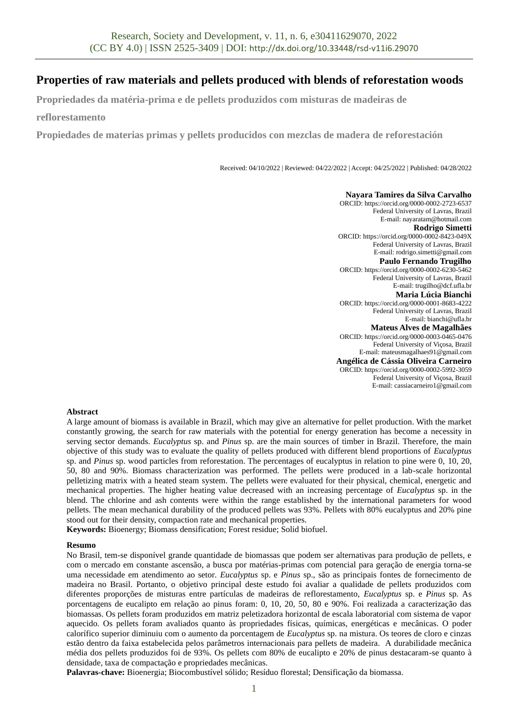# **Properties of raw materials and pellets produced with blends of reforestation woods**

**Propriedades da matéria-prima e de pellets produzidos com misturas de madeiras de** 

**reflorestamento**

**Propiedades de materias primas y pellets producidos con mezclas de madera de reforestación**

Received: 04/10/2022 | Reviewed: 04/22/2022 | Accept: 04/25/2022 | Published: 04/28/2022

**Nayara Tamires da Silva Carvalho** ORCID: https://orcid.org/0000-0002-2723-6537 Federal University of Lavras, Brazil E-mail: nayaratam@hotmail.com **Rodrigo Simetti** ORCID: https://orcid.org/0000-0002-8423-049X Federal University of Lavras, Brazil E-mail: rodrigo.simetti@gmail.com **Paulo Fernando Trugilho** ORCID: https://orcid.org/0000-0002-6230-5462 Federal University of Lavras, Brazil E-mail: trugilho@dcf.ufla.br **Maria Lúcia Bianchi** ORCID: https://orcid.org/0000-0001-8683-4222 Federal University of Lavras, Brazil E-mail: bianchi@ufla.br **Mateus Alves de Magalhães** ORCID: https://orcid.org/0000-0003-0465-0476 Federal University of Viçosa, Brazil E-mail: mateusmagalhaes91@gmail.com **Angélica de Cássia Oliveira Carneiro** ORCID: https://orcid.org/0000-0002-5992-3059 Federal University of Viçosa, Brazil E-mail: cassiacarneiro1@gmail.com

# **Abstract**

A large amount of biomass is available in Brazil, which may give an alternative for pellet production. With the market constantly growing, the search for raw materials with the potential for energy generation has become a necessity in serving sector demands. *Eucalyptus* sp. and *Pinus* sp. are the main sources of timber in Brazil. Therefore, the main objective of this study was to evaluate the quality of pellets produced with different blend proportions of *Eucalyptus* sp. and *Pinus* sp. wood particles from reforestation. The percentages of eucalyptus in relation to pine were 0, 10, 20, 50, 80 and 90%. Biomass characterization was performed. The pellets were produced in a lab-scale horizontal pelletizing matrix with a heated steam system. The pellets were evaluated for their physical, chemical, energetic and mechanical properties. The higher heating value decreased with an increasing percentage of *Eucalyptus* sp. in the blend. The chlorine and ash contents were within the range established by the international parameters for wood pellets. The mean mechanical durability of the produced pellets was 93%. Pellets with 80% eucalyptus and 20% pine stood out for their density, compaction rate and mechanical properties.

**Keywords:** Bioenergy; Biomass densification; Forest residue; Solid biofuel.

# **Resumo**

No Brasil, tem-se disponível grande quantidade de biomassas que podem ser alternativas para produção de pellets, e com o mercado em constante ascensão, a busca por matérias-primas com potencial para geração de energia torna-se uma necessidade em atendimento ao setor. *Eucalyptus* sp. e *Pinus* sp., são as principais fontes de fornecimento de madeira no Brasil. Portanto, o objetivo principal deste estudo foi avaliar a qualidade de pellets produzidos com diferentes proporções de misturas entre partículas de madeiras de reflorestamento, *Eucalyptus* sp. e *Pinus* sp. As porcentagens de eucalipto em relação ao pinus foram: 0, 10, 20, 50, 80 e 90%. Foi realizada a caracterização das biomassas. Os pellets foram produzidos em matriz peletizadora horizontal de escala laboratorial com sistema de vapor aquecido. Os pellets foram avaliados quanto às propriedades físicas, químicas, energéticas e mecânicas. O poder calorífico superior diminuiu com o aumento da porcentagem de *Eucalyptus* sp. na mistura. Os teores de cloro e cinzas estão dentro da faixa estabelecida pelos parâmetros internacionais para pellets de madeira. A durabilidade mecânica média dos pellets produzidos foi de 93%. Os pellets com 80% de eucalipto e 20% de pinus destacaram-se quanto à densidade, taxa de compactação e propriedades mecânicas.

**Palavras-chave:** Bioenergia; Biocombustível sólido; Resíduo florestal; Densificação da biomassa.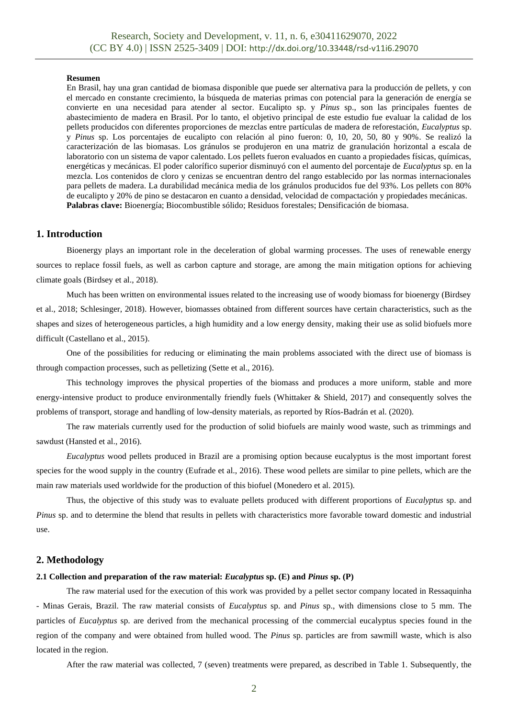### **Resumen**

En Brasil, hay una gran cantidad de biomasa disponible que puede ser alternativa para la producción de pellets, y con el mercado en constante crecimiento, la búsqueda de materias primas con potencial para la generación de energía se convierte en una necesidad para atender al sector. Eucalipto sp. y *Pinus* sp., son las principales fuentes de abastecimiento de madera en Brasil. Por lo tanto, el objetivo principal de este estudio fue evaluar la calidad de los pellets producidos con diferentes proporciones de mezclas entre partículas de madera de reforestación, *Eucalyptus* sp. y *Pinus* sp. Los porcentajes de eucalipto con relación al pino fueron: 0, 10, 20, 50, 80 y 90%. Se realizó la caracterización de las biomasas. Los gránulos se produjeron en una matriz de granulación horizontal a escala de laboratorio con un sistema de vapor calentado. Los pellets fueron evaluados en cuanto a propiedades físicas, químicas, energéticas y mecánicas. El poder calorífico superior disminuyó con el aumento del porcentaje de *Eucalyptus* sp. en la mezcla. Los contenidos de cloro y cenizas se encuentran dentro del rango establecido por las normas internacionales para pellets de madera. La durabilidad mecánica media de los gránulos producidos fue del 93%. Los pellets con 80% de eucalipto y 20% de pino se destacaron en cuanto a densidad, velocidad de compactación y propiedades mecánicas. **Palabras clave:** Bioenergía; Biocombustible sólido; Residuos forestales; Densificación de biomasa.

# **1. Introduction**

Bioenergy plays an important role in the deceleration of global warming processes. The uses of renewable energy sources to replace fossil fuels, as well as carbon capture and storage, are among the main mitigation options for achieving climate goals (Birdsey et al., 2018).

Much has been written on environmental issues related to the increasing use of woody biomass for bioenergy (Birdsey et al., 2018; Schlesinger, 2018). However, biomasses obtained from different sources have certain characteristics, such as the shapes and sizes of heterogeneous particles, a high humidity and a low energy density, making their use as solid biofuels more difficult (Castellano et al., 2015).

One of the possibilities for reducing or eliminating the main problems associated with the direct use of biomass is through compaction processes, such as pelletizing (Sette et al., 2016).

This technology improves the physical properties of the biomass and produces a more uniform, stable and more energy-intensive product to produce environmentally friendly fuels (Whittaker & Shield, 2017) and consequently solves the problems of transport, storage and handling of low-density materials, as reported by Ríos-Badrán et al. (2020).

The raw materials currently used for the production of solid biofuels are mainly wood waste, such as trimmings and sawdust (Hansted et al., 2016).

*Eucalyptus* wood pellets produced in Brazil are a promising option because eucalyptus is the most important forest species for the wood supply in the country (Eufrade et al., 2016). These wood pellets are similar to pine pellets, which are the main raw materials used worldwide for the production of this biofuel (Monedero et al. 2015).

Thus, the objective of this study was to evaluate pellets produced with different proportions of *Eucalyptus* sp. and *Pinus* sp. and to determine the blend that results in pellets with characteristics more favorable toward domestic and industrial use.

# **2. Methodology**

# **2.1 Collection and preparation of the raw material:** *Eucalyptus* **sp. (E) and** *Pinus* **sp. (P)**

The raw material used for the execution of this work was provided by a pellet sector company located in Ressaquinha - Minas Gerais, Brazil. The raw material consists of *Eucalyptus* sp. and *Pinus* sp., with dimensions close to 5 mm. The particles of *Eucalyptus* sp. are derived from the mechanical processing of the commercial eucalyptus species found in the region of the company and were obtained from hulled wood. The *Pinus* sp. particles are from sawmill waste, which is also located in the region.

After the raw material was collected, 7 (seven) treatments were prepared, as described in Table 1. Subsequently, the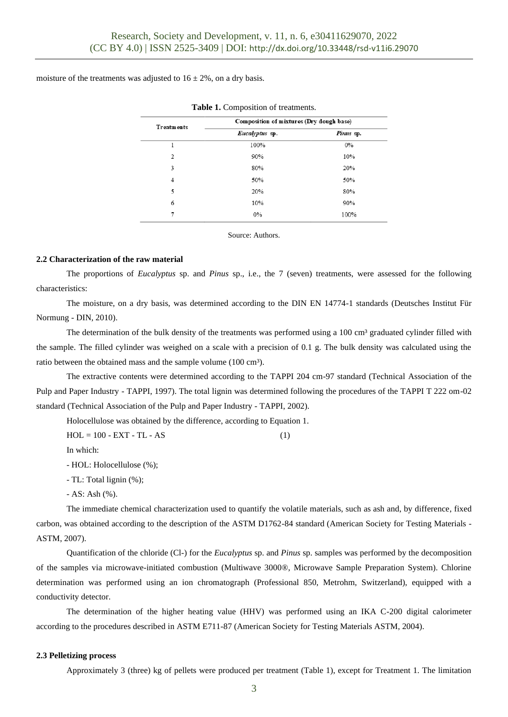moisture of the treatments was adjusted to  $16 \pm 2\%$ , on a dry basis.

| <b>Treatments</b> | Composition of mixtures (Dry dough base) |           |  |
|-------------------|------------------------------------------|-----------|--|
|                   | Eucalyptus sp.                           | Pinus sp. |  |
| 1                 | 100%                                     | 0%        |  |
| 2                 | 90%                                      | 10%       |  |
| 3                 | 80%                                      | 20%       |  |
| 4                 | 50%                                      | 50%       |  |
| 5                 | 20%                                      | 80%       |  |
| 6                 | 10%                                      | 90%       |  |
| 7                 | 0%                                       | 100%      |  |

|  |  |  |  | Table 1. Composition of treatments. |
|--|--|--|--|-------------------------------------|
|--|--|--|--|-------------------------------------|

Source: Authors.

### **2.2 Characterization of the raw material**

The proportions of *Eucalyptus* sp. and *Pinus* sp., i.e., the 7 (seven) treatments, were assessed for the following characteristics:

The moisture, on a dry basis, was determined according to the DIN EN 14774-1 standards (Deutsches Institut Für Normung - DIN, 2010).

The determination of the bulk density of the treatments was performed using a 100 cm<sup>3</sup> graduated cylinder filled with the sample. The filled cylinder was weighed on a scale with a precision of 0.1 g. The bulk density was calculated using the ratio between the obtained mass and the sample volume (100 cm<sup>3</sup>).

The extractive contents were determined according to the TAPPI 204 cm-97 standard (Technical Association of the Pulp and Paper Industry - TAPPI, 1997). The total lignin was determined following the procedures of the TAPPI T 222 om-02 standard (Technical Association of the Pulp and Paper Industry - TAPPI, 2002).

Holocellulose was obtained by the difference, according to Equation 1.

 $HOL = 100 - EXT - TI - AS$  (1)

In which:

- HOL: Holocellulose (%);

- TL: Total lignin (%);

 $- AS: Ash (%)$ .

The immediate chemical characterization used to quantify the volatile materials, such as ash and, by difference, fixed carbon, was obtained according to the description of the ASTM D1762-84 standard (American Society for Testing Materials - ASTM, 2007).

Quantification of the chloride (Cl-) for the *Eucalyptus* sp. and *Pinus* sp. samples was performed by the decomposition of the samples via microwave-initiated combustion (Multiwave 3000®, Microwave Sample Preparation System). Chlorine determination was performed using an ion chromatograph (Professional 850, Metrohm, Switzerland), equipped with a conductivity detector.

The determination of the higher heating value (HHV) was performed using an IKA C-200 digital calorimeter according to the procedures described in ASTM E711-87 (American Society for Testing Materials ASTM, 2004).

# **2.3 Pelletizing process**

Approximately 3 (three) kg of pellets were produced per treatment (Table 1), except for Treatment 1. The limitation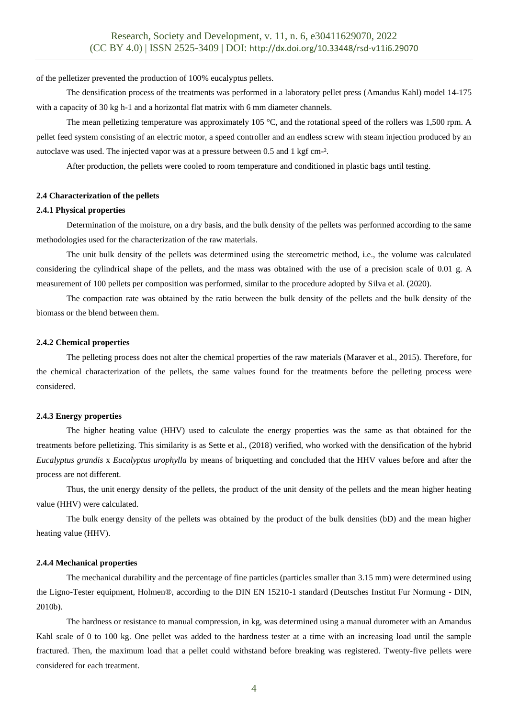of the pelletizer prevented the production of 100% eucalyptus pellets.

The densification process of the treatments was performed in a laboratory pellet press (Amandus Kahl) model 14-175 with a capacity of 30 kg h-1 and a horizontal flat matrix with 6 mm diameter channels.

The mean pelletizing temperature was approximately 105 °C, and the rotational speed of the rollers was 1,500 rpm. A pellet feed system consisting of an electric motor, a speed controller and an endless screw with steam injection produced by an autoclave was used. The injected vapor was at a pressure between 0.5 and 1 kgf cm-².

After production, the pellets were cooled to room temperature and conditioned in plastic bags until testing.

### **2.4 Characterization of the pellets**

### **2.4.1 Physical properties**

Determination of the moisture, on a dry basis, and the bulk density of the pellets was performed according to the same methodologies used for the characterization of the raw materials.

The unit bulk density of the pellets was determined using the stereometric method, i.e., the volume was calculated considering the cylindrical shape of the pellets, and the mass was obtained with the use of a precision scale of 0.01 g. A measurement of 100 pellets per composition was performed, similar to the procedure adopted by Silva et al. (2020).

The compaction rate was obtained by the ratio between the bulk density of the pellets and the bulk density of the biomass or the blend between them.

### **2.4.2 Chemical properties**

The pelleting process does not alter the chemical properties of the raw materials (Maraver et al., 2015). Therefore, for the chemical characterization of the pellets, the same values found for the treatments before the pelleting process were considered.

### **2.4.3 Energy properties**

The higher heating value (HHV) used to calculate the energy properties was the same as that obtained for the treatments before pelletizing. This similarity is as Sette et al., (2018) verified, who worked with the densification of the hybrid *Eucalyptus grandis* x *Eucalyptus urophylla* by means of briquetting and concluded that the HHV values before and after the process are not different.

Thus, the unit energy density of the pellets, the product of the unit density of the pellets and the mean higher heating value (HHV) were calculated.

The bulk energy density of the pellets was obtained by the product of the bulk densities (bD) and the mean higher heating value (HHV).

#### **2.4.4 Mechanical properties**

The mechanical durability and the percentage of fine particles (particles smaller than 3.15 mm) were determined using the Ligno-Tester equipment, Holmen®, according to the DIN EN 15210-1 standard (Deutsches Institut Fur Normung - DIN, 2010b).

The hardness or resistance to manual compression, in kg, was determined using a manual durometer with an Amandus Kahl scale of 0 to 100 kg. One pellet was added to the hardness tester at a time with an increasing load until the sample fractured. Then, the maximum load that a pellet could withstand before breaking was registered. Twenty-five pellets were considered for each treatment.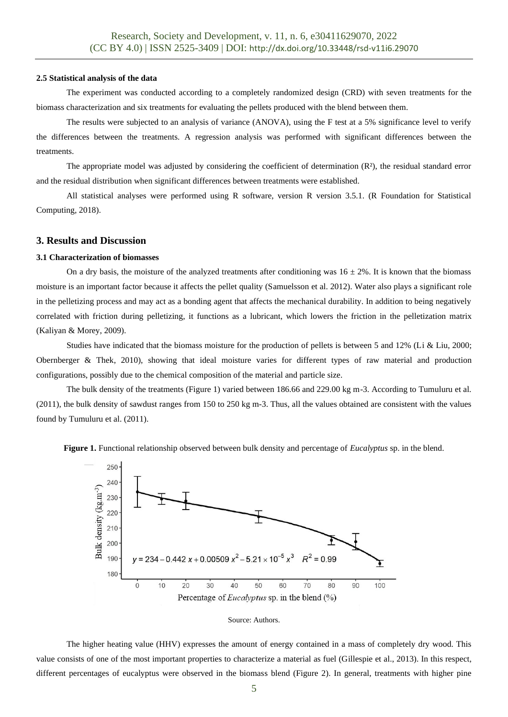### **2.5 Statistical analysis of the data**

The experiment was conducted according to a completely randomized design (CRD) with seven treatments for the biomass characterization and six treatments for evaluating the pellets produced with the blend between them.

The results were subjected to an analysis of variance (ANOVA), using the F test at a 5% significance level to verify the differences between the treatments. A regression analysis was performed with significant differences between the treatments.

The appropriate model was adjusted by considering the coefficient of determination  $(R<sup>2</sup>)$ , the residual standard error and the residual distribution when significant differences between treatments were established.

All statistical analyses were performed using R software, version R version 3.5.1. (R Foundation for Statistical Computing, 2018).

# **3. Results and Discussion**

### **3.1 Characterization of biomasses**

On a dry basis, the moisture of the analyzed treatments after conditioning was  $16 \pm 2\%$ . It is known that the biomass moisture is an important factor because it affects the pellet quality (Samuelsson et al. 2012). Water also plays a significant role in the pelletizing process and may act as a bonding agent that affects the mechanical durability. In addition to being negatively correlated with friction during pelletizing, it functions as a lubricant, which lowers the friction in the pelletization matrix (Kaliyan & Morey, 2009).

Studies have indicated that the biomass moisture for the production of pellets is between 5 and 12% (Li & Liu, 2000; Obernberger & Thek, 2010), showing that ideal moisture varies for different types of raw material and production configurations, possibly due to the chemical composition of the material and particle size.

The bulk density of the treatments (Figure 1) varied between 186.66 and 229.00 kg m-3. According to Tumuluru et al. (2011), the bulk density of sawdust ranges from 150 to 250 kg m-3. Thus, all the values obtained are consistent with the values found by Tumuluru et al. (2011).







The higher heating value (HHV) expresses the amount of energy contained in a mass of completely dry wood. This value consists of one of the most important properties to characterize a material as fuel (Gillespie et al., 2013). In this respect, different percentages of eucalyptus were observed in the biomass blend (Figure 2). In general, treatments with higher pine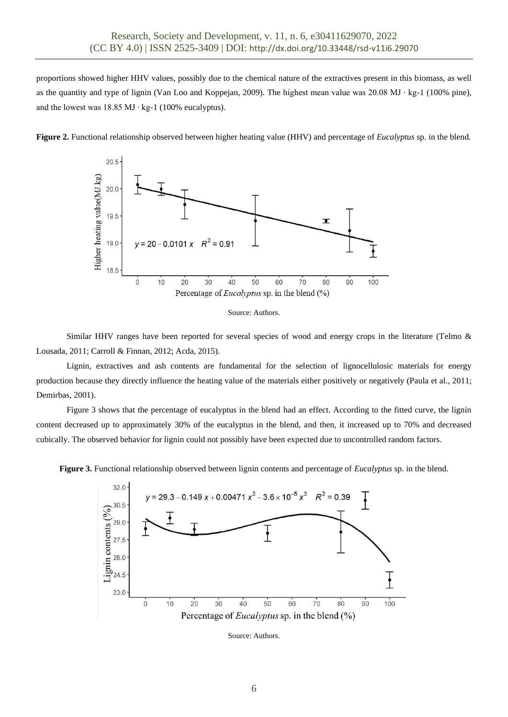proportions showed higher HHV values, possibly due to the chemical nature of the extractives present in this biomass, as well as the quantity and type of lignin (Van Loo and Koppejan, 2009). The highest mean value was 20.08 MJ ∙ kg-1 (100% pine), and the lowest was 18.85 MJ ∙ kg-1 (100% eucalyptus).

**Figure 2.** Functional relationship observed between higher heating value (HHV) and percentage of *Eucalyptus* sp. in the blend.





Similar HHV ranges have been reported for several species of wood and energy crops in the literature (Telmo & Lousada, 2011; Carroll & Finnan, 2012; Acda, 2015).

Lignin, extractives and ash contents are fundamental for the selection of lignocellulosic materials for energy production because they directly influence the heating value of the materials either positively or negatively (Paula et al., 2011; Demirbas, 2001).

Figure 3 shows that the percentage of eucalyptus in the blend had an effect. According to the fitted curve, the lignin content decreased up to approximately 30% of the eucalyptus in the blend, and then, it increased up to 70% and decreased cubically. The observed behavior for lignin could not possibly have been expected due to uncontrolled random factors.

**Figure 3.** Functional relationship observed between lignin contents and percentage of *Eucalyptus* sp. in the blend.



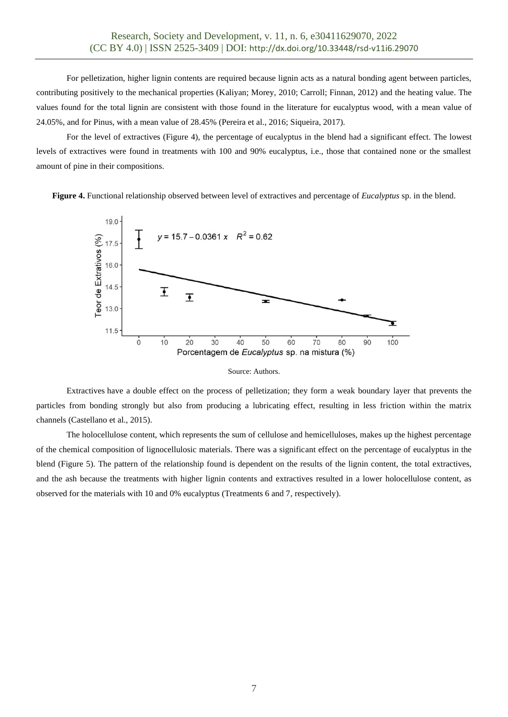For pelletization, higher lignin contents are required because lignin acts as a natural bonding agent between particles, contributing positively to the mechanical properties (Kaliyan; Morey, 2010; Carroll; Finnan, 2012) and the heating value. The values found for the total lignin are consistent with those found in the literature for eucalyptus wood, with a mean value of 24.05%, and for Pinus, with a mean value of 28.45% (Pereira et al., 2016; Siqueira, 2017).

For the level of extractives (Figure 4), the percentage of eucalyptus in the blend had a significant effect. The lowest levels of extractives were found in treatments with 100 and 90% eucalyptus, i.e., those that contained none or the smallest amount of pine in their compositions.

**Figure 4.** Functional relationship observed between level of extractives and percentage of *Eucalyptus* sp. in the blend.



#### Source: Authors.

[Extractives](https://www-sciencedirect.ez26.periodicos.capes.gov.br/topics/engineering/extractives) have a double effect on the process of pelletization; they form a weak boundary layer that prevents the particles from bonding strongly but also from producing a lubricating effect, resulting in less friction within the matrix channels (Castellano et al., 2015).

The holocellulose content, which represents the sum of cellulose and hemicelluloses, makes up the highest percentage of the chemical composition of lignocellulosic materials. There was a significant effect on the percentage of eucalyptus in the blend (Figure 5). The pattern of the relationship found is dependent on the results of the lignin content, the total extractives, and the ash because the treatments with higher lignin contents and extractives resulted in a lower holocellulose content, as observed for the materials with 10 and 0% eucalyptus (Treatments 6 and 7, respectively).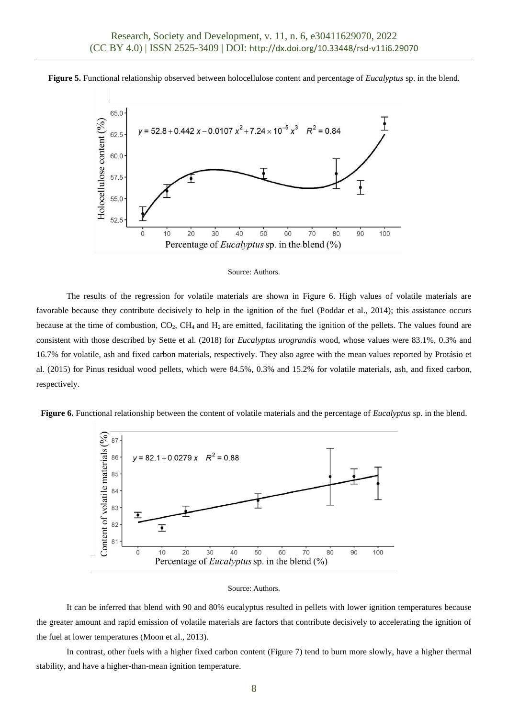



#### Source: Authors.

The results of the regression for volatile materials are shown in Figure 6. High values of volatile materials are favorable because they contribute decisively to help in the ignition of the fuel (Poddar et al., 2014); this assistance occurs because at the time of combustion,  $CO_2$ ,  $CH_4$  and  $H_2$  are emitted, facilitating the ignition of the pellets. The values found are consistent with those described by Sette et al. (2018) for *Eucalyptus urograndis* wood*,* whose values were 83.1%, 0.3% and 16.7% for volatile, ash and fixed carbon materials, respectively. They also agree with the mean values reported by Protásio et al. (2015) for Pinus residual wood pellets, which were 84.5%, 0.3% and 15.2% for volatile materials, ash, and fixed carbon, respectively.

**Figure 6.** Functional relationship between the content of volatile materials and the percentage of *Eucalyptus* sp. in the blend.



#### Source: Authors.

It can be inferred that blend with 90 and 80% eucalyptus resulted in pellets with lower ignition temperatures because the greater amount and rapid emission of volatile materials are factors that contribute decisively to accelerating the ignition of the fuel at lower temperatures (Moon et al., 2013).

In contrast, other fuels with a higher fixed carbon content (Figure 7) tend to burn more slowly, have a higher thermal stability, and have a higher-than-mean ignition temperature.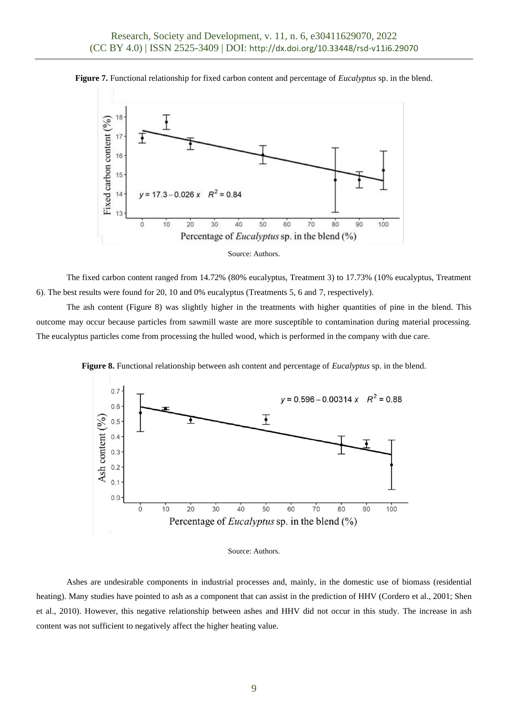



The fixed carbon content ranged from 14.72% (80% eucalyptus, Treatment 3) to 17.73% (10% eucalyptus, Treatment 6). The best results were found for 20, 10 and 0% eucalyptus (Treatments 5, 6 and 7, respectively).

The ash content (Figure 8) was slightly higher in the treatments with higher quantities of pine in the blend. This outcome may occur because particles from sawmill waste are more susceptible to contamination during material processing. The eucalyptus particles come from processing the hulled wood, which is performed in the company with due care.





#### Source: Authors.

Ashes are undesirable components in industrial processes and, mainly, in the domestic use of biomass (residential heating). Many studies have pointed to ash as a component that can assist in the prediction of HHV (Cordero et al., 2001; Shen et al., 2010). However, this negative relationship between ashes and HHV did not occur in this study. The increase in ash content was not sufficient to negatively affect the higher heating value.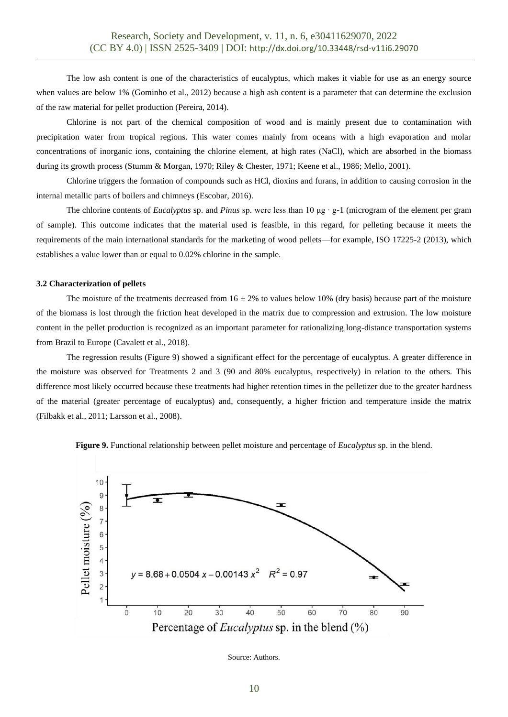The low ash content is one of the characteristics of eucalyptus, which makes it viable for use as an energy source when values are below 1% (Gominho et al., 2012) because a high ash content is a parameter that can determine the exclusion of the raw material for pellet production (Pereira, 2014).

Chlorine is not part of the chemical composition of wood and is mainly present due to contamination with precipitation water from tropical regions. This water comes mainly from oceans with a high evaporation and molar concentrations of inorganic ions, containing the chlorine element, at high rates (NaCl), which are absorbed in the biomass during its growth process (Stumm & Morgan, 1970; Riley & Chester, 1971; Keene et al., 1986; Mello, 2001).

Chlorine triggers the formation of compounds such as HCl, dioxins and furans, in addition to causing corrosion in the internal metallic parts of boilers and chimneys (Escobar, 2016).

The chlorine contents of *Eucalyptus* sp. and *Pinus* sp. were less than 10 μg ∙ g-1 (microgram of the element per gram of sample). This outcome indicates that the material used is feasible, in this regard, for pelleting because it meets the requirements of the main international standards for the marketing of wood pellets—for example, ISO 17225-2 (2013), which establishes a value lower than or equal to 0.02% chlorine in the sample.

#### **3.2 Characterization of pellets**

The moisture of the treatments decreased from  $16 \pm 2\%$  to values below 10% (dry basis) because part of the moisture of the biomass is lost through the friction heat developed in the matrix due to compression and extrusion. The low moisture content in the pellet production is recognized as an important parameter for rationalizing long-distance transportation systems from Brazil to Europe (Cavalett et al., 2018).

The regression results (Figure 9) showed a significant effect for the percentage of eucalyptus. A greater difference in the moisture was observed for Treatments 2 and 3 (90 and 80% eucalyptus, respectively) in relation to the others. This difference most likely occurred because these treatments had higher retention times in the pelletizer due to the greater hardness of the material (greater percentage of eucalyptus) and, consequently, a higher friction and temperature inside the matrix (Filbakk et al., 2011; Larsson et al., 2008).



**Figure 9.** Functional relationship between pellet moisture and percentage of *Eucalyptus* sp. in the blend.

Source: Authors.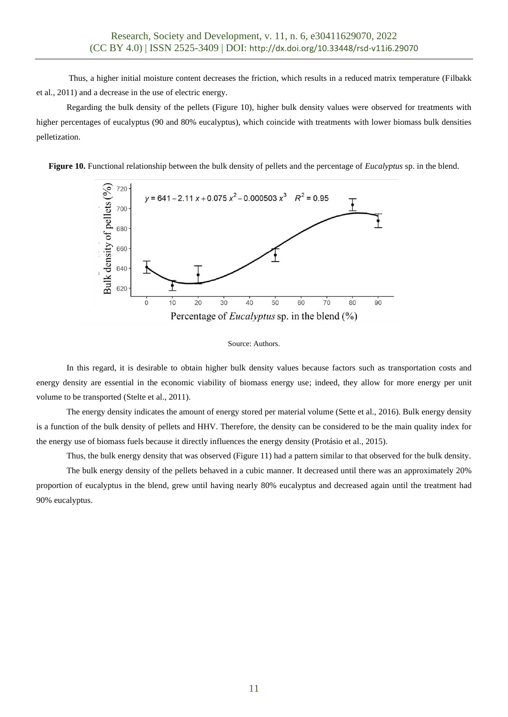Thus, a higher initial moisture content decreases the friction, which results in a reduced matrix temperature (Filbakk et al., 2011) and a decrease in the use of electric energy.

Regarding the bulk density of the pellets (Figure 10), higher bulk density values were observed for treatments with higher percentages of eucalyptus (90 and 80% eucalyptus), which coincide with treatments with lower biomass bulk densities pelletization.

**Figure 10.** Functional relationship between the bulk density of pellets and the percentage of *Eucalyptus* sp. in the blend.



#### Source: Authors.

In this regard, it is desirable to obtain higher bulk density values because factors such as transportation costs and energy density are essential in the economic viability of biomass energy use; indeed, they allow for more energy per unit volume to be transported (Stelte et al., 2011).

The energy density indicates the amount of energy stored per material volume (Sette et al., 2016). Bulk energy density is a function of the bulk density of pellets and HHV. Therefore, the density can be considered to be the main quality index for the energy use of biomass fuels because it directly influences the energy density (Protásio et al., 2015).

Thus, the bulk energy density that was observed (Figure 11) had a pattern similar to that observed for the bulk density.

The bulk energy density of the pellets behaved in a cubic manner. It decreased until there was an approximately 20% proportion of eucalyptus in the blend, grew until having nearly 80% eucalyptus and decreased again until the treatment had 90% eucalyptus.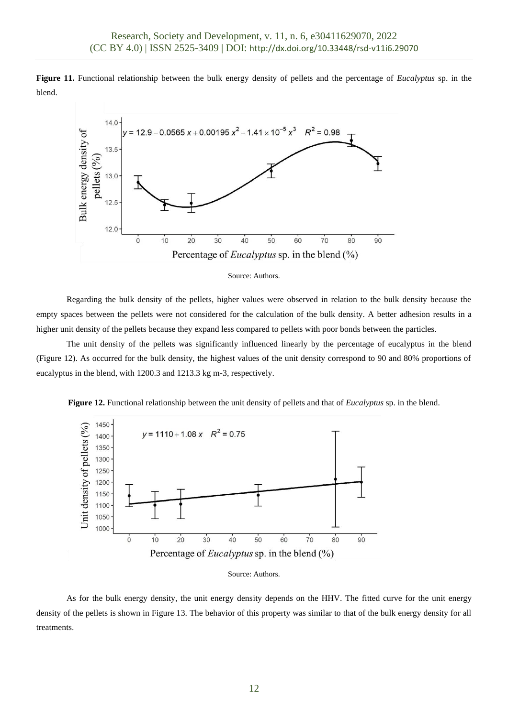**Figure 11.** Functional relationship between the bulk energy density of pellets and the percentage of *Eucalyptus* sp. in the blend.



#### Source: Authors.

Regarding the bulk density of the pellets, higher values were observed in relation to the bulk density because the empty spaces between the pellets were not considered for the calculation of the bulk density. A better adhesion results in a higher unit density of the pellets because they expand less compared to pellets with poor bonds between the particles.

The unit density of the pellets was significantly influenced linearly by the percentage of eucalyptus in the blend (Figure 12). As occurred for the bulk density, the highest values of the unit density correspond to 90 and 80% proportions of eucalyptus in the blend, with 1200.3 and 1213.3 kg m-3, respectively.

**Figure 12.** Functional relationship between the unit density of pellets and that of *Eucalyptus* sp. in the blend.



As for the bulk energy density, the unit energy density depends on the HHV. The fitted curve for the unit energy density of the pellets is shown in Figure 13. The behavior of this property was similar to that of the bulk energy density for all treatments.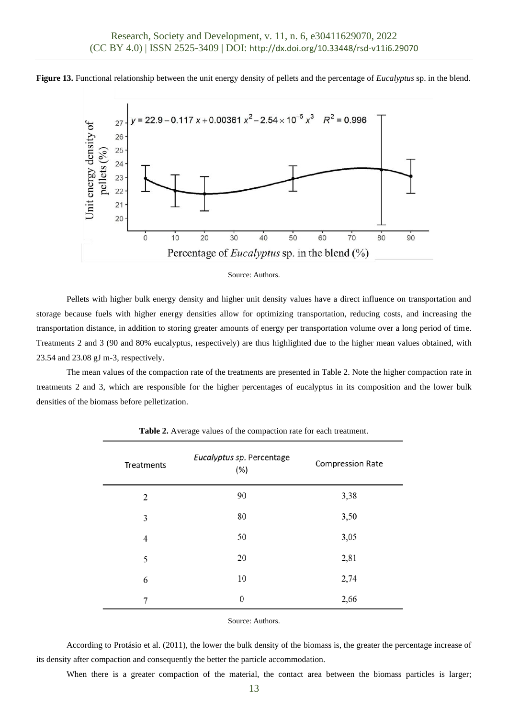**Figure 13.** Functional relationship between the unit energy density of pellets and the percentage of *Eucalyptus* sp. in the blend.



#### Source: Authors.

Pellets with higher bulk energy density and higher unit density values have a direct influence on transportation and storage because fuels with higher energy densities allow for optimizing transportation, reducing costs, and increasing the transportation distance, in addition to storing greater amounts of energy per transportation volume over a long period of time. Treatments 2 and 3 (90 and 80% eucalyptus, respectively) are thus highlighted due to the higher mean values obtained, with 23.54 and 23.08 gJ m-3, respectively.

The mean values of the compaction rate of the treatments are presented in Table 2. Note the higher compaction rate in treatments 2 and 3, which are responsible for the higher percentages of eucalyptus in its composition and the lower bulk densities of the biomass before pelletization.

| Treatments | Eucalyptus sp. Percentage<br>(%) | Compression Rate |
|------------|----------------------------------|------------------|
| 2          | 90                               | 3,38             |
| 3          | 80                               | 3,50             |
| 4          | 50                               | 3,05             |
| 5          | 20                               | 2,81             |
| 6          | 10                               | 2,74             |
| 7          | $\boldsymbol{0}$                 | 2,66             |

**Table 2.** Average values of the compaction rate for each treatment.

Source: Authors.

According to Protásio et al. (2011), the lower the bulk density of the biomass is, the greater the percentage increase of its density after compaction and consequently the better the particle accommodation.

When there is a greater compaction of the material, the contact area between the biomass particles is larger;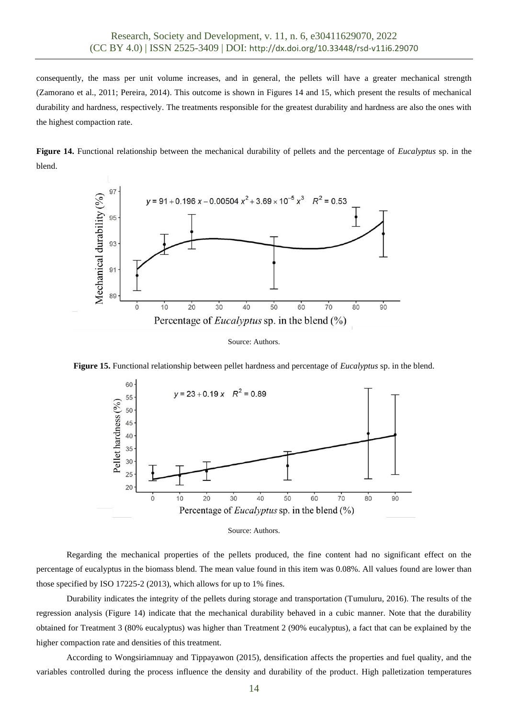consequently, the mass per unit volume increases, and in general, the pellets will have a greater mechanical strength (Zamorano et al., 2011; Pereira, 2014). This outcome is shown in Figures 14 and 15, which present the results of mechanical durability and hardness, respectively. The treatments responsible for the greatest durability and hardness are also the ones with the highest compaction rate.

**Figure 14.** Functional relationship between the mechanical durability of pellets and the percentage of *Eucalyptus* sp. in the blend.





**Figure 15.** Functional relationship between pellet hardness and percentage of *Eucalyptus* sp. in the blend.





Regarding the mechanical properties of the pellets produced, the fine content had no significant effect on the percentage of eucalyptus in the biomass blend. The mean value found in this item was 0.08%. All values found are lower than those specified by ISO 17225-2 (2013), which allows for up to 1% fines.

Durability indicates the integrity of the pellets during storage and transportation (Tumuluru, 2016). The results of the regression analysis (Figure 14) indicate that the mechanical durability behaved in a cubic manner. Note that the durability obtained for Treatment 3 (80% eucalyptus) was higher than Treatment 2 (90% eucalyptus), a fact that can be explained by the higher compaction rate and densities of this treatment.

According to Wongsiriamnuay and Tippayawon (2015), densification affects the properties and fuel quality, and the variables controlled during the process influence the density and durability of the product. High palletization temperatures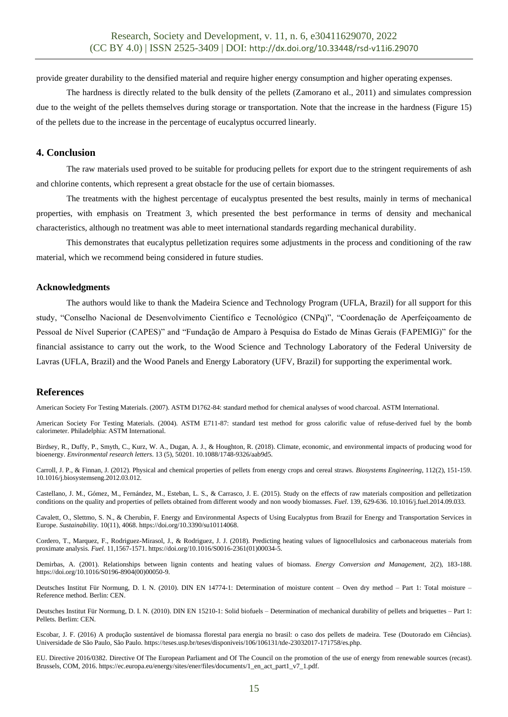provide greater durability to the densified material and require higher energy consumption and higher operating expenses.

The hardness is directly related to the bulk density of the pellets (Zamorano et al., 2011) and simulates compression due to the weight of the pellets themselves during storage or transportation. Note that the increase in the hardness (Figure 15) of the pellets due to the increase in the percentage of eucalyptus occurred linearly.

# **4. Conclusion**

The raw materials used proved to be suitable for producing pellets for export due to the stringent requirements of ash and chlorine contents, which represent a great obstacle for the use of certain biomasses.

The treatments with the highest percentage of eucalyptus presented the best results, mainly in terms of mechanical properties, with emphasis on Treatment 3, which presented the best performance in terms of density and mechanical characteristics, although no treatment was able to meet international standards regarding mechanical durability.

This demonstrates that eucalyptus pelletization requires some adjustments in the process and conditioning of the raw material, which we recommend being considered in future studies.

### **Acknowledgments**

The authors would like to thank the Madeira Science and Technology Program (UFLA, Brazil) for all support for this study, "Conselho Nacional de Desenvolvimento Científico e Tecnológico (CNPq)", "Coordenação de Aperfeiçoamento de Pessoal de Nível Superior (CAPES)" and "Fundação de Amparo à Pesquisa do Estado de Minas Gerais (FAPEMIG)" for the financial assistance to carry out the work, to the Wood Science and Technology Laboratory of the Federal University de Lavras (UFLA, Brazil) and the Wood Panels and Energy Laboratory (UFV, Brazil) for supporting the experimental work.

### **References**

American Society For Testing Materials. (2007). ASTM D1762-84: standard method for chemical analyses of wood charcoal. ASTM International.

American Society For Testing Materials. (2004). ASTM E711-87: standard test method for gross calorific value of refuse-derived fuel by the bomb calorimeter. Philadelphia: ASTM International.

Birdsey, R., Duffy, P., Smyth, C., Kurz, W. A., Dugan, A. J., & Houghton, R. (2018). Climate, economic, and environmental impacts of producing wood for bioenergy. *Environmental research letters*. 13 (5), 50201. 10.1088/1748-9326/aab9d5.

Carroll, J. P., & Finnan, J. (2012). Physical and chemical properties of pellets from energy crops and cereal straws. *Biosystems Engineering*, 112(2), 151-159. 10.1016/j.biosystemseng.2012.03.012.

Castellano, J. M., Gómez, M., Fernández, M., Esteban, L. S., & Carrasco, J. E. (2015). Study on the effects of raw materials composition and pelletization conditions on the quality and properties of pellets obtained from different woody and non woody biomasses. *Fuel*. 139, 629-636. 10.1016/j.fuel.2014.09.033.

Cavalett, O., Slettmo, S. N., & Cherubin, F. Energy and Environmental Aspects of Using Eucalyptus from Brazil for Energy and Transportation Services in Europe. *Sustainability*. 10(11), 4068. https://doi.org/10.3390/su10114068.

Cordero, T., Marquez, F., Rodriguez-Mirasol, J., & Rodriguez, J. J. (2018). Predicting heating values of lignocellulosics and carbonaceous materials from proximate analysis. *Fuel.* 11,1567-1571. https://doi.org/10.1016/S0016-2361(01)00034-5.

Demirbas, A. (2001). Relationships between lignin contents and heating values of biomass. *Energy Conversion and Management,* 2(2), 183-188. https://doi.org/10.1016/S0196-8904(00)00050-9.

Deutsches Institut Für Normung, D. I. N. (2010). DIN EN 14774-1: Determination of moisture content – Oven dry method – Part 1: Total moisture – Reference method. Berlin: CEN.

Deutsches Institut Für Normung, D. I. N. (2010). DIN EN 15210-1: Solid biofuels – Determination of mechanical durability of pellets and briquettes – Part 1: Pellets. Berlim: CEN.

Escobar, J. F. (2016) A produção sustentável de biomassa florestal para energia no brasil: o caso dos pellets de madeira. Tese (Doutorado em Ciências). Universidade de São Paulo, São Paulo. https://teses.usp.br/teses/disponiveis/106/106131/tde-23032017-171758/es.php.

EU. Directive 2016/0382. Directive Of The European Parliament and Of The Council on the promotion of the use of energy from renewable sources (recast). Brussels, COM, 2016. https://ec.europa.eu/energy/sites/ener/files/documents/1\_en\_act\_part1\_v7\_1.pdf.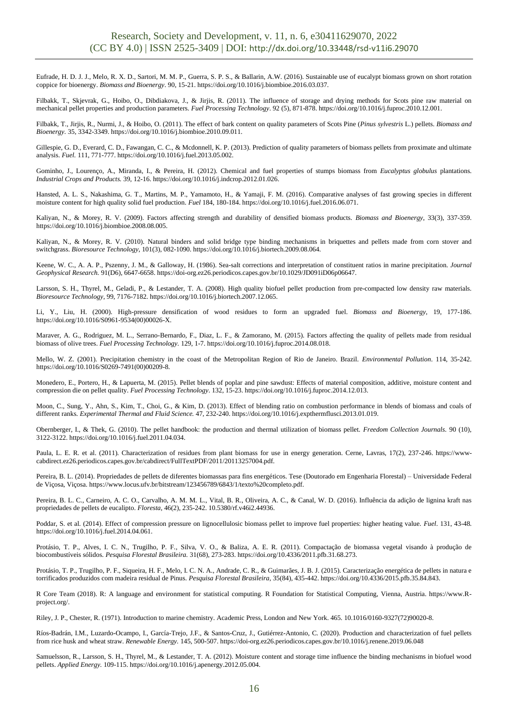Eufrade, H. D. J. J., Melo, R. X. D., Sartori, M. M. P., Guerra, S. P. S., & Ballarin, A.W. (2016). Sustainable use of eucalypt biomass grown on short rotation coppice for bioenergy. *Biomass and Bioenergy*. 90, 15-21. https://doi.org/10.1016/j.biombioe.2016.03.037.

Filbakk, T., Skjevrak, G., Hoibo, O., Dibdiakova, J., & Jirjis, R. (2011). The influence of storage and drying methods for Scots pine raw material on mechanical pellet properties and production parameters. *Fuel Processing Technology*. 92 (5), 871-878. https://doi.org/10.1016/j.fuproc.2010.12.001.

Filbakk, T., Jirjis, R., Nurmi, J., & Hoibo, O. (2011). The effect of bark content on quality parameters of Scots Pine (*Pinus sylvestris* L.) pellets. *Biomass and Bioenergy.* 35, 3342-3349. https://doi.org/10.1016/j.biombioe.2010.09.011.

Gillespie, G. D., Everard, C. D., Fawangan, C. C., & Mcdonnell, K. P. (2013). Prediction of quality parameters of biomass pellets from proximate and ultimate analysis. *Fuel.* 111, 771-777. https://doi.org/10.1016/j.fuel.2013.05.002.

Gominho, J., Lourenço, A., Miranda, I., & Pereira, H. (2012). Chemical and fuel properties of stumps biomass from *Eucalyptus globulus* plantations. *Industrial Crops and Products.* 39, 12-16. https://doi.org/10.1016/j.indcrop.2012.01.026.

Hansted, A. L. S., Nakashima, G. T., Martins, M. P., Yamamoto, H., & Yamaji, F. M. (2016). Comparative analyses of fast growing species in different moisture content for high quality solid fuel production. *Fuel* 184, 180-184. https://doi.org/10.1016/j.fuel.2016.06.071.

Kaliyan, N., & Morey, R. V. (2009). Factors affecting strength and durability of densified biomass products. *Biomass and Bioenergy*, 33(3), 337-359. https://doi.org/10.1016/j.biombioe.2008.08.005.

Kaliyan, N., & Morey, R. V. (2010). Natural binders and solid bridge type binding mechanisms in briquettes and pellets made from corn stover and switchgrass. *Bioresource Technology,* 101(3), 082-1090. https://doi.org/10.1016/j.biortech.2009.08.064.

Keene, W. C., A. A. P., Pszenny, J. M., & Galloway, H. (1986). Sea-salt corrections and interpretation of constituent ratios in marine precipitation. *Journal Geophysical Research.* 91(D6), 6647-6658. https://doi-org.ez26.periodicos.capes.gov.br/10.1029/JD091iD06p06647.

Larsson, S. H., Thyrel, M., Geladi, P., & Lestander, T. A. (2008). High quality biofuel pellet production from pre-compacted low density raw materials. *Bioresource Technology*, 99, 7176-7182. https://doi.org/10.1016/j.biortech.2007.12.065.

Li, Y., Liu, H. (2000). High-pressure densification of wood residues to form an upgraded fuel. *Biomass and Bioenergy,* 19, 177-186. https://doi.org/10.1016/S0961-9534(00)00026-X.

Maraver, A. G., Rodriguez, M. L., Serrano-Bernardo, F., Diaz, L. F., & Zamorano, M. (2015). Factors affecting the quality of pellets made from residual biomass of olive trees. *Fuel Processing Technology.* 129, 1-7. https://doi.org/10.1016/j.fuproc.2014.08.018.

Mello, W. Z. (2001). Precipitation chemistry in the coast of the Metropolitan Region of Rio de Janeiro. Brazil. *Environmental Pollution*. 114, 35-242. https://doi.org/10.1016/S0269-7491(00)00209-8.

Monedero, E., Portero, H., & Lapuerta, M. (2015). Pellet blends of poplar and pine sawdust: Effects of material composition, additive, moisture content and compression die on pellet quality. *Fuel Processing Technology*. 132, 15-23. https://doi.org/10.1016/j.fuproc.2014.12.013.

Moon, C., Sung, Y., Ahn, S., Kim, T., Choi, G., & Kim, D. (2013). Effect of blending ratio on combustion performance in blends of biomass and coals of different ranks. *Experimental Thermal and Fluid Science.* 47, 232-240. https://doi.org/10.1016/j.expthermflusci.2013.01.019.

Obernberger, I., & Thek, G. (2010). The pellet handbook: the production and thermal utilization of biomass pellet. *Freedom Collection Journals.* 90 (10), 3122-3122. https://doi.org/10.1016/j.fuel.2011.04.034.

Paula, L. E. R. et al. (2011). Characterization of residues from plant biomass for use in energy generation. Cerne, Lavras, 17(2), 237-246. https://wwwcabdirect.ez26.periodicos.capes.gov.br/cabdirect/FullTextPDF/2011/20113257004.pdf.

Pereira, B. L. (2014). Propriedades de pellets de diferentes biomassas para fins energéticos. Tese (Doutorado em Engenharia Florestal) – Universidade Federal de Viçosa, Viçosa. https://www.locus.ufv.br/bitstream/123456789/6843/1/texto%20completo.pdf.

Pereira, B. L. C., Carneiro, A. C. O., Carvalho, A. M. M. L., Vital, B. R., Oliveira, A. C., & Canal, W. D. (2016). Influência da adição de lignina kraft nas propriedades de pellets de eucalipto. *Floresta*, 46(2), 235-242. 10.5380/rf.v46i2.44936.

Poddar, S. et al. (2014). Effect of compression pressure on lignocellulosic biomass pellet to improve fuel properties: higher heating value. *Fuel*. 131, 43-48. https://doi.org/10.1016/j.fuel.2014.04.061.

Protásio, T. P., Alves, I. C. N., Trugilho, P. F., Silva, V. O., & Baliza, A. E. R. (2011). Compactação de biomassa vegetal visando à produção de biocombustíveis sólidos. *Pesquisa Florestal Brasileira.* 31(68), 273-283. https://doi.org/10.4336/2011.pfb.31.68.273.

Protásio, T. P., Trugilho, P. F., Siqueira, H. F., Melo, I. C. N. A., Andrade, C. R., & Guimarães, J. B. J. (2015). Caracterização energética de pellets in natura e torrificados produzidos com madeira residual de Pinus. *Pesquisa Florestal Brasileira,* 35(84), 435-442. https://doi.org/10.4336/2015.pfb.35.84.843.

R Core Team (2018). R: A language and environment for statistical computing. R Foundation for Statistical Computing, Vienna, Austria. https://www.Rproject.org/.

Riley, J. P., Chester, R. (1971). Introduction to marine chemistry. Academic Press, London and New York. 465. 10.1016/0160-9327(72)90020-8.

Ríos-Badrán, I.M., Luzardo-Ocampo, I., García-Trejo, J.F., & Santos-Cruz, J., Gutiérrez-Antonio, C. (2020). Production and characterization of fuel pellets from rice husk and wheat straw. *Renewable Energy.* 145, 500-507. https://doi-org.ez26.periodicos.capes.gov.br/10.1016/j.renene.2019.06.048

Samuelsson, R., Larsson, S. H., Thyrel, M., & Lestander, T. A. (2012). Moisture content and storage time influence the binding mechanisms in biofuel wood pellets. *Applied Energy.* 109-115. https://doi.org/10.1016/j.apenergy.2012.05.004.